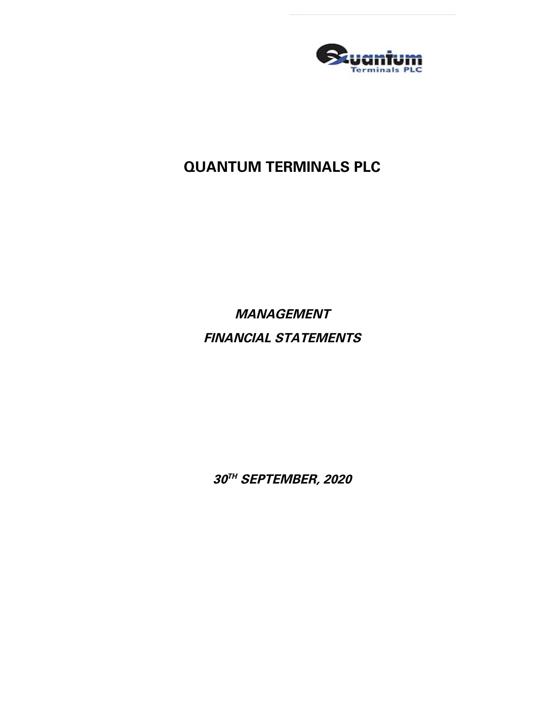

# **QUANTUM TERMINALS PLC**

**MANAGEMENT FINANCIAL STATEMENTS**

**30 TH SEPTEMBER, 2020**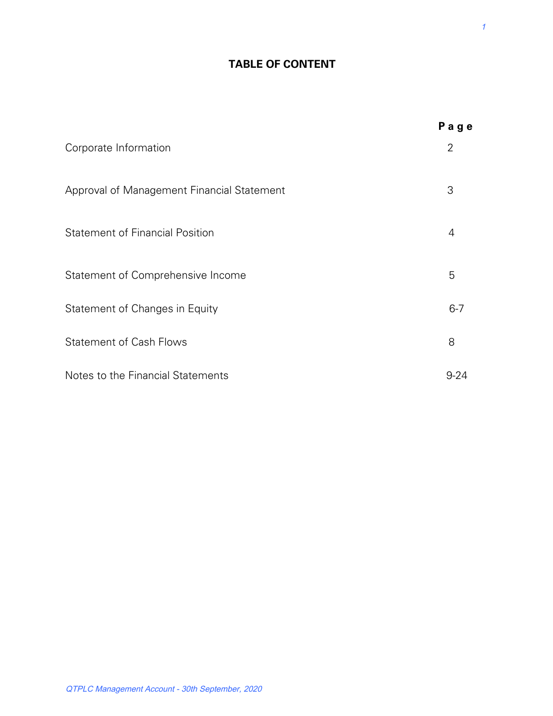# **TABLE OF CONTENT**

|                                            | Page     |
|--------------------------------------------|----------|
| Corporate Information                      | 2        |
| Approval of Management Financial Statement | 3        |
| <b>Statement of Financial Position</b>     | 4        |
| Statement of Comprehensive Income          | 5        |
| Statement of Changes in Equity             | $6 - 7$  |
| <b>Statement of Cash Flows</b>             | 8        |
| Notes to the Financial Statements          | $9 - 24$ |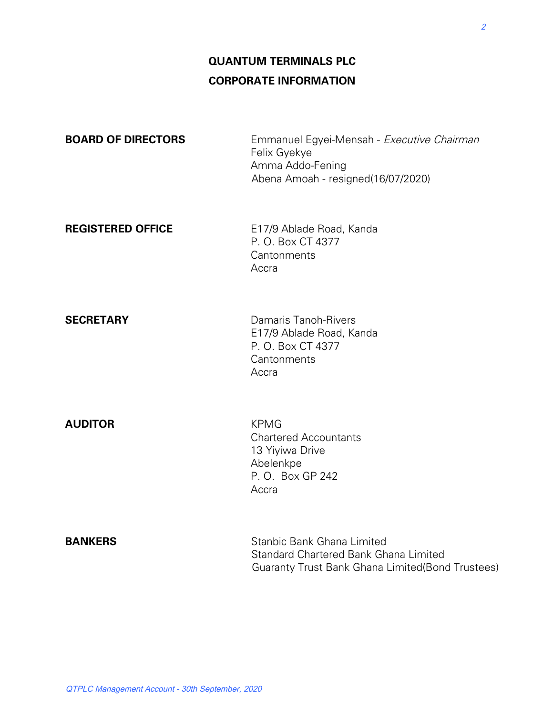# **QUANTUM TERMINALS PLC CORPORATE INFORMATION**

| <b>BOARD OF DIRECTORS</b> | Emmanuel Egyei-Mensah - Executive Chairman<br>Felix Gyekye<br>Amma Addo-Fening<br>Abena Amoah - resigned(16/07/2020)    |
|---------------------------|-------------------------------------------------------------------------------------------------------------------------|
| <b>REGISTERED OFFICE</b>  | E17/9 Ablade Road, Kanda<br>P. O. Box CT 4377<br>Cantonments<br>Accra                                                   |
| <b>SECRETARY</b>          | Damaris Tanoh-Rivers<br>E17/9 Ablade Road, Kanda<br>P. O. Box CT 4377<br>Cantonments<br>Accra                           |
| <b>AUDITOR</b>            | <b>KPMG</b><br><b>Chartered Accountants</b><br>13 Yiyiwa Drive<br>Abelenkpe<br>P.O. Box GP 242<br>Accra                 |
| <b>BANKERS</b>            | Stanbic Bank Ghana Limited<br>Standard Chartered Bank Ghana Limited<br>Guaranty Trust Bank Ghana Limited(Bond Trustees) |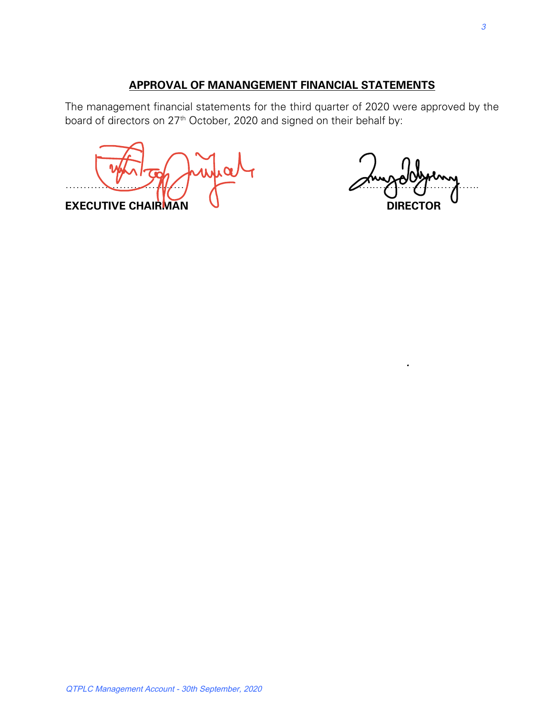# **APPROVAL OF MANANGEMENT FINANCIAL STATEMENTS**

The management financial statements for the third quarter of 2020 were approved by the board of directors on 27<sup>th</sup> October, 2020 and signed on their behalf by:

 $\mathbb{Z}$ **EXECUTIVE CHAIRMAN U**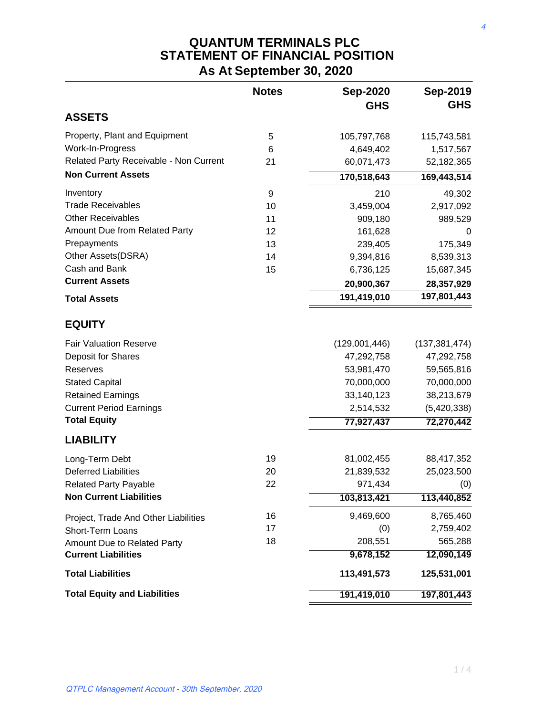# **QUANTUM TERMINALS PLC STATEMENT OF FINANCIAL POSITION As At September 30, 2020**

|                                        | <b>Notes</b> | <b>Sep-2020</b><br><b>GHS</b> | Sep-2019<br><b>GHS</b> |
|----------------------------------------|--------------|-------------------------------|------------------------|
| <b>ASSETS</b>                          |              |                               |                        |
| Property, Plant and Equipment          | 5            | 105,797,768                   | 115,743,581            |
| Work-In-Progress                       | 6            | 4,649,402                     | 1,517,567              |
| Related Party Receivable - Non Current | 21           | 60,071,473                    | 52,182,365             |
| <b>Non Current Assets</b>              |              | 170,518,643                   | 169,443,514            |
| Inventory                              | 9            | 210                           | 49,302                 |
| <b>Trade Receivables</b>               | 10           | 3,459,004                     | 2,917,092              |
| <b>Other Receivables</b>               | 11           | 909,180                       | 989,529                |
| Amount Due from Related Party          | 12           | 161,628                       | 0                      |
| Prepayments                            | 13           | 239,405                       | 175,349                |
| Other Assets(DSRA)                     | 14           | 9,394,816                     | 8,539,313              |
| Cash and Bank                          | 15           | 6,736,125                     | 15,687,345             |
| <b>Current Assets</b>                  |              | 20,900,367                    | 28,357,929             |
| <b>Total Assets</b>                    |              | 191,419,010                   | 197,801,443            |
| <b>EQUITY</b>                          |              |                               |                        |
| <b>Fair Valuation Reserve</b>          |              | (129,001,446)                 | (137, 381, 474)        |
| Deposit for Shares                     |              | 47,292,758                    | 47,292,758             |
| Reserves                               |              | 53,981,470                    | 59,565,816             |
| <b>Stated Capital</b>                  |              | 70,000,000                    | 70,000,000             |
| <b>Retained Earnings</b>               |              | 33,140,123                    | 38,213,679             |
| <b>Current Period Earnings</b>         |              | 2,514,532                     | (5,420,338)            |
| <b>Total Equity</b>                    |              | 77,927,437                    | 72,270,442             |
| <b>LIABILITY</b>                       |              |                               |                        |
| Long-Term Debt                         | 19           | 81,002,455                    | 88,417,352             |
| <b>Deferred Liabilities</b>            | 20           | 21,839,532                    | 25,023,500             |
| <b>Related Party Payable</b>           | 22           | 971,434                       | (0)                    |
| <b>Non Current Liabilities</b>         |              | 103,813,421                   | 113,440,852            |
| Project, Trade And Other Liabilities   | 16           | 9,469,600                     | 8,765,460              |
| Short-Term Loans                       | 17           | (0)                           | 2,759,402              |
| Amount Due to Related Party            | 18           | 208,551                       | 565,288                |
| <b>Current Liabilities</b>             |              | 9,678,152                     | 12,090,149             |
| <b>Total Liabilities</b>               |              | 113,491,573                   | 125,531,001            |
| <b>Total Equity and Liabilities</b>    |              | 191,419,010                   | 197,801,443            |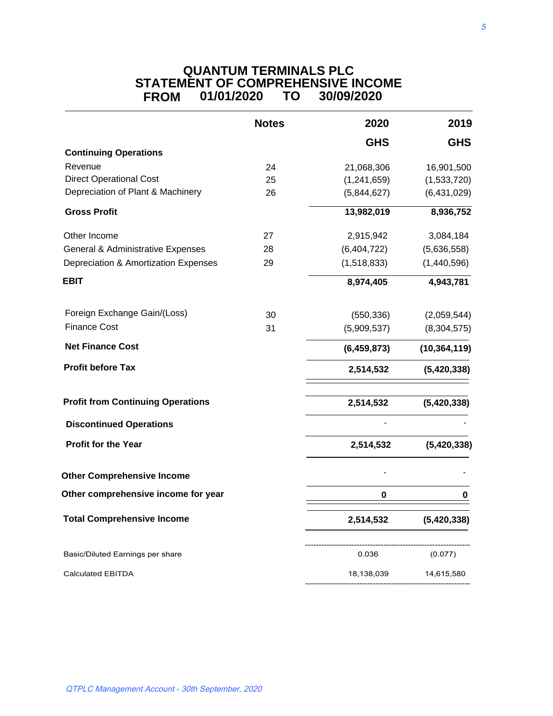## **QUANTUM TERMINALS PLC STATEMENT OF COMPREHENSIVE INCOME FROM 01/01/2020 TO 30/09/2020**

|                                              | <b>Notes</b> | 2020          | 2019           |
|----------------------------------------------|--------------|---------------|----------------|
|                                              |              | <b>GHS</b>    | <b>GHS</b>     |
| <b>Continuing Operations</b>                 |              |               |                |
| Revenue                                      | 24           | 21,068,306    | 16,901,500     |
| <b>Direct Operational Cost</b>               | 25           | (1,241,659)   | (1,533,720)    |
| Depreciation of Plant & Machinery            | 26           | (5,844,627)   | (6,431,029)    |
| <b>Gross Profit</b>                          |              | 13,982,019    | 8,936,752      |
| Other Income                                 | 27           | 2,915,942     | 3,084,184      |
| <b>General &amp; Administrative Expenses</b> | 28           | (6,404,722)   | (5,636,558)    |
| Depreciation & Amortization Expenses         | 29           | (1,518,833)   | (1,440,596)    |
| <b>EBIT</b>                                  |              | 8,974,405     | 4,943,781      |
| Foreign Exchange Gain/(Loss)                 | 30           | (550, 336)    | (2,059,544)    |
| <b>Finance Cost</b>                          | 31           | (5,909,537)   | (8, 304, 575)  |
| <b>Net Finance Cost</b>                      |              | (6, 459, 873) | (10, 364, 119) |
| <b>Profit before Tax</b>                     |              | 2,514,532     | (5,420,338)    |
| <b>Profit from Continuing Operations</b>     |              | 2,514,532     | (5,420,338)    |
| <b>Discontinued Operations</b>               |              |               |                |
| Profit for the Year                          |              | 2,514,532     | (5,420,338)    |
| <b>Other Comprehensive Income</b>            |              |               |                |
| Other comprehensive income for year          |              | 0             |                |
| <b>Total Comprehensive Income</b>            |              | 2,514,532     | (5,420,338)    |
| Basic/Diluted Earnings per share             |              | 0.036         | (0.077)        |
| <b>Calculated EBITDA</b>                     |              | 18,138,039    | 14,615,580     |
|                                              |              |               |                |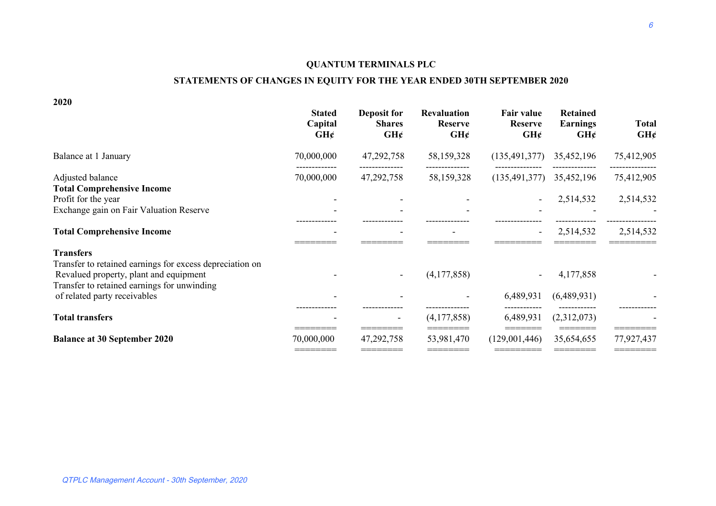#### **QUANTUM TERMINALS PLC**

#### **STATEMENTS OF CHANGES IN EQUITY FOR THE YEAR ENDED 30TH SEPTEMBER 2020**

**2020**

| <b>Stated</b><br>Capital<br>$GH$ ¢ | <b>Deposit for</b><br><b>Shares</b><br>GH | <b>Revaluation</b><br><b>Reserve</b><br>GH | <b>Fair value</b><br><b>Reserve</b><br>GH | <b>Retained</b><br><b>Earnings</b><br>GH | <b>Total</b><br>GH¢                           |
|------------------------------------|-------------------------------------------|--------------------------------------------|-------------------------------------------|------------------------------------------|-----------------------------------------------|
| 70,000,000                         | 47,292,758                                | 58,159,328                                 | (135, 491, 377)                           | 35,452,196                               | 75,412,905                                    |
| 70,000,000                         | 47,292,758                                | 58,159,328                                 |                                           | 35,452,196                               | 75,412,905                                    |
|                                    |                                           |                                            |                                           | 2,514,532                                | 2,514,532                                     |
|                                    |                                           |                                            | $\overline{\phantom{a}}$                  | 2,514,532                                | 2,514,532                                     |
|                                    |                                           |                                            |                                           |                                          |                                               |
|                                    |                                           | (4,177,858)                                |                                           | 4,177,858                                |                                               |
|                                    |                                           |                                            |                                           |                                          |                                               |
| 70,000,000                         | 47,292,758                                | 53,981,470                                 | (129,001,446)                             | 35,654,655                               | 77,927,437                                    |
|                                    |                                           |                                            | (4,177,858)                               | 6,489,931<br>6,489,931                   | (135, 491, 377)<br>(6,489,931)<br>(2,312,073) |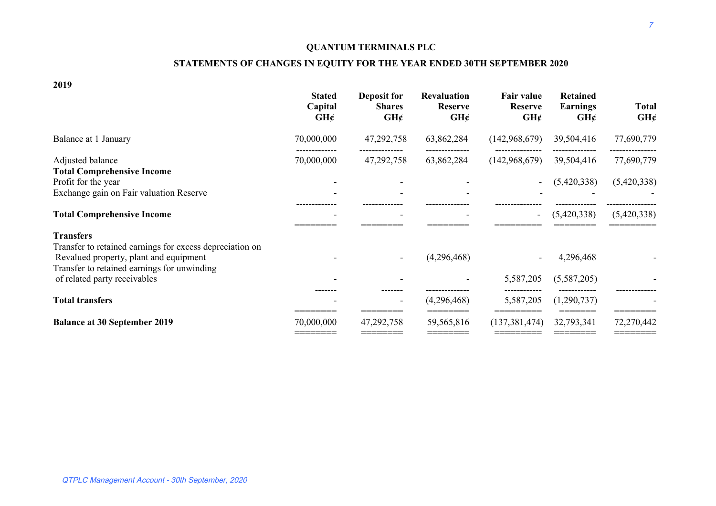#### **QUANTUM TERMINALS PLC**

#### **STATEMENTS OF CHANGES IN EQUITY FOR THE YEAR ENDED 30TH SEPTEMBER 2020**

**2019**

|                                                                                                                                                   | <b>Stated</b><br>Capital<br>GH | Deposit for<br><b>Shares</b><br>GH | <b>Revaluation</b><br><b>Reserve</b><br>GH | Fair value<br><b>Reserve</b><br>GH | <b>Retained</b><br><b>Earnings</b><br>GH | <b>Total</b><br>GH |
|---------------------------------------------------------------------------------------------------------------------------------------------------|--------------------------------|------------------------------------|--------------------------------------------|------------------------------------|------------------------------------------|--------------------|
| Balance at 1 January                                                                                                                              | 70,000,000                     | 47,292,758                         | 63,862,284                                 | (142, 968, 679)                    | 39,504,416                               | 77,690,779         |
| Adjusted balance<br><b>Total Comprehensive Income</b>                                                                                             | 70,000,000                     | 47,292,758                         | 63,862,284                                 | (142, 968, 679)                    | 39,504,416                               | 77,690,779         |
| Profit for the year                                                                                                                               |                                |                                    |                                            |                                    | (5,420,338)                              | (5,420,338)        |
| Exchange gain on Fair valuation Reserve                                                                                                           |                                |                                    |                                            |                                    |                                          |                    |
| <b>Total Comprehensive Income</b>                                                                                                                 |                                |                                    |                                            |                                    | (5,420,338)                              | (5,420,338)        |
| <b>Transfers</b>                                                                                                                                  |                                |                                    |                                            |                                    |                                          |                    |
| Transfer to retained earnings for excess depreciation on<br>Revalued property, plant and equipment<br>Transfer to retained earnings for unwinding |                                |                                    | (4,296,468)                                |                                    | 4,296,468                                |                    |
| of related party receivables                                                                                                                      |                                |                                    |                                            | 5,587,205                          | (5,587,205)                              |                    |
| <b>Total transfers</b>                                                                                                                            |                                | $\overline{\phantom{a}}$           | (4,296,468)                                | 5,587,205                          | (1,290,737)                              |                    |
| <b>Balance at 30 September 2019</b>                                                                                                               | 70,000,000                     | 47,292,758                         | 59,565,816                                 | (137, 381, 474)                    | 32,793,341                               | 72,270,442         |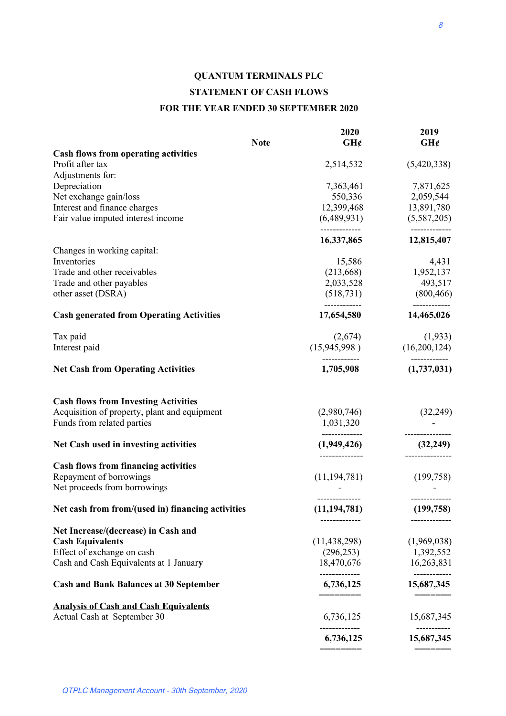# **QUANTUM TERMINALS PLC STATEMENT OF CASH FLOWS FOR THE YEAR ENDED 30 SEPTEMBER 2020**

|                                                   |             | 2020                         | 2019                      |
|---------------------------------------------------|-------------|------------------------------|---------------------------|
|                                                   | <b>Note</b> | $GH$ ¢                       | $GH$ ¢                    |
| <b>Cash flows from operating activities</b>       |             |                              |                           |
| Profit after tax                                  |             | 2,514,532                    | (5,420,338)               |
| Adjustments for:                                  |             |                              |                           |
| Depreciation                                      |             | 7,363,461                    | 7,871,625                 |
| Net exchange gain/loss                            |             | 550,336                      | 2,059,544                 |
| Interest and finance charges                      |             | 12,399,468                   | 13,891,780                |
| Fair value imputed interest income                |             | (6,489,931)<br>------------- | (5,587,205)<br>---------- |
|                                                   |             | 16,337,865                   | 12,815,407                |
| Changes in working capital:                       |             |                              |                           |
| Inventories                                       |             | 15,586                       | 4,431                     |
| Trade and other receivables                       |             | (213,668)                    | 1,952,137                 |
| Trade and other payables                          |             | 2,033,528                    | 493,517                   |
| other asset (DSRA)                                |             | (518, 731)                   | (800, 466)                |
| <b>Cash generated from Operating Activities</b>   |             | 17,654,580                   | 14,465,026                |
| Tax paid                                          |             | (2,674)                      | (1,933)                   |
| Interest paid                                     |             | (15,945,998)                 | (16,200,124)              |
| <b>Net Cash from Operating Activities</b>         |             | 1,705,908                    | (1,737,031)               |
| <b>Cash flows from Investing Activities</b>       |             |                              |                           |
| Acquisition of property, plant and equipment      |             | (2,980,746)                  | (32, 249)                 |
| Funds from related parties                        |             | 1,031,320                    |                           |
| Net Cash used in investing activities             |             | (1,949,426)                  | (32, 249)                 |
| <b>Cash flows from financing activities</b>       |             |                              |                           |
| Repayment of borrowings                           |             | (11, 194, 781)               | (199, 758)                |
| Net proceeds from borrowings                      |             |                              |                           |
| Net cash from from/(used in) financing activities |             | (11, 194, 781)               | (199, 758)                |
| Net Increase/(decrease) in Cash and               |             | -------------                | -------------             |
| <b>Cash Equivalents</b>                           |             | (11, 438, 298)               | (1,969,038)               |
| Effect of exchange on cash                        |             | (296, 253)                   | 1,392,552                 |
| Cash and Cash Equivalents at 1 January            |             | 18,470,676                   | 16,263,831                |
|                                                   |             | -------------                | ----------                |
| <b>Cash and Bank Balances at 30 September</b>     |             | 6,736,125<br><u>========</u> | 15,687,345                |
| <b>Analysis of Cash and Cash Equivalents</b>      |             |                              |                           |
| Actual Cash at September 30                       |             | 6,736,125                    | 15,687,345<br>---------   |
|                                                   |             | 6,736,125                    | 15,687,345                |
|                                                   |             |                              |                           |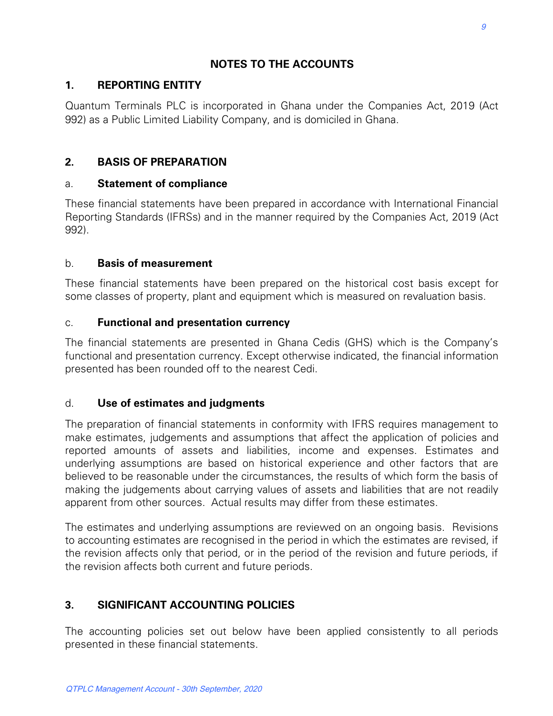# **NOTES TO THE ACCOUNTS**

## **1. REPORTING ENTITY**

Quantum Terminals PLC is incorporated in Ghana under the Companies Act, 2019 (Act 992) as a Public Limited Liability Company, and is domiciled in Ghana.

## **2. BASIS OF PREPARATION**

## a. **Statement of compliance**

These financial statements have been prepared in accordance with International Financial Reporting Standards (IFRSs) and in the manner required by the Companies Act, 2019 (Act 992).

## b. **Basis of measurement**

These financial statements have been prepared on the historical cost basis except for some classes of property, plant and equipment which is measured on revaluation basis.

## c. **Functional and presentation currency**

The financial statements are presented in Ghana Cedis (GHS) which is the Company's functional and presentation currency. Except otherwise indicated, the financial information presented has been rounded off to the nearest Cedi.

## d. **Use of estimates and judgments**

The preparation of financial statements in conformity with IFRS requires management to make estimates, judgements and assumptions that affect the application of policies and reported amounts of assets and liabilities, income and expenses. Estimates and underlying assumptions are based on historical experience and other factors that are believed to be reasonable under the circumstances, the results of which form the basis of making the judgements about carrying values of assets and liabilities that are not readily apparent from other sources. Actual results may differ from these estimates.

The estimates and underlying assumptions are reviewed on an ongoing basis. Revisions to accounting estimates are recognised in the period in which the estimates are revised, if the revision affects only that period, or in the period of the revision and future periods, if the revision affects both current and future periods.

# **3. SIGNIFICANT ACCOUNTING POLICIES**

The accounting policies set out below have been applied consistently to all periods presented in these financial statements.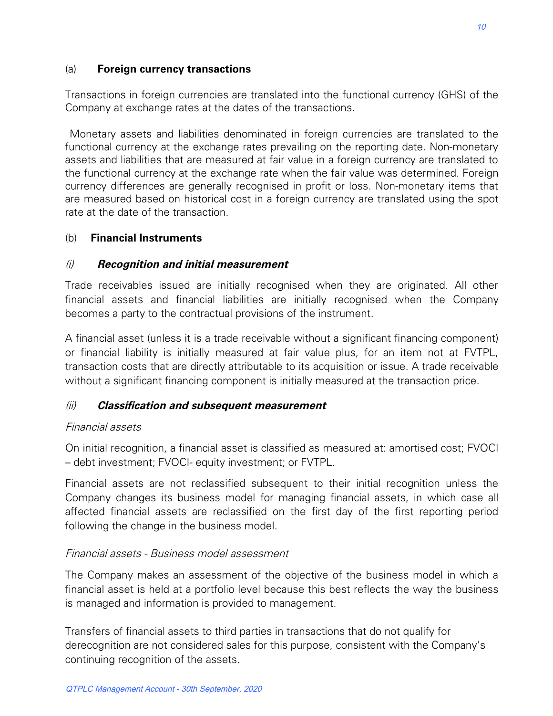#### (a) **Foreign currency transactions**

Transactions in foreign currencies are translated into the functional currency (GHS) of the Company at exchange rates at the dates of the transactions.

 Monetary assets and liabilities denominated in foreign currencies are translated to the functional currency at the exchange rates prevailing on the reporting date. Non-monetary assets and liabilities that are measured at fair value in a foreign currency are translated to the functional currency at the exchange rate when the fair value was determined. Foreign currency differences are generally recognised in profit or loss. Non-monetary items that are measured based on historical cost in a foreign currency are translated using the spot rate at the date of the transaction.

#### (b) **Financial Instruments**

#### (i) **Recognition and initial measurement**

Trade receivables issued are initially recognised when they are originated. All other financial assets and financial liabilities are initially recognised when the Company becomes a party to the contractual provisions of the instrument.

A financial asset (unless it is a trade receivable without a significant financing component) or financial liability is initially measured at fair value plus, for an item not at FVTPL, transaction costs that are directly attributable to its acquisition or issue. A trade receivable without a significant financing component is initially measured at the transaction price.

## (ii) **Classification and subsequent measurement**

#### Financial assets

On initial recognition, a financial asset is classified as measured at: amortised cost; FVOCI – debt investment; FVOCI- equity investment; or FVTPL.

Financial assets are not reclassified subsequent to their initial recognition unless the Company changes its business model for managing financial assets, in which case all affected financial assets are reclassified on the first day of the first reporting period following the change in the business model.

## Financial assets - Business model assessment

The Company makes an assessment of the objective of the business model in which a financial asset is held at a portfolio level because this best reflects the way the business is managed and information is provided to management.

Transfers of financial assets to third parties in transactions that do not qualify for derecognition are not considered sales for this purpose, consistent with the Company's continuing recognition of the assets.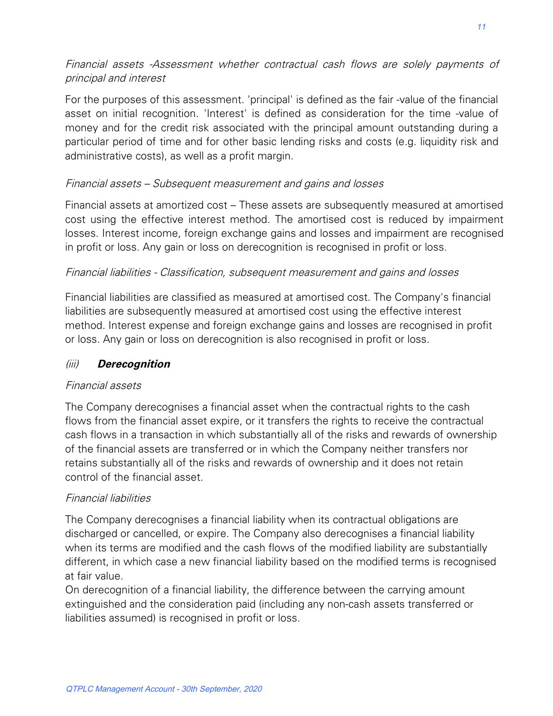# Financial assets -Assessment whether contractual cash flows are solely payments of principal and interest

For the purposes of this assessment. 'principal' is defined as the fair -value of the financial asset on initial recognition. 'Interest' is defined as consideration for the time -value of money and for the credit risk associated with the principal amount outstanding during a particular period of time and for other basic lending risks and costs (e.g. liquidity risk and administrative costs), as well as a profit margin.

## Financial assets – Subsequent measurement and gains and losses

Financial assets at amortized cost – These assets are subsequently measured at amortised cost using the effective interest method. The amortised cost is reduced by impairment losses. Interest income, foreign exchange gains and losses and impairment are recognised in profit or loss. Any gain or loss on derecognition is recognised in profit or loss.

## Financial liabilities - Classification, subsequent measurement and gains and losses

Financial liabilities are classified as measured at amortised cost. The Company's financial liabilities are subsequently measured at amortised cost using the effective interest method. Interest expense and foreign exchange gains and losses are recognised in profit or loss. Any gain or loss on derecognition is also recognised in profit or loss.

#### (iii) **Derecognition**

#### Financial assets

The Company derecognises a financial asset when the contractual rights to the cash flows from the financial asset expire, or it transfers the rights to receive the contractual cash flows in a transaction in which substantially all of the risks and rewards of ownership of the financial assets are transferred or in which the Company neither transfers nor retains substantially all of the risks and rewards of ownership and it does not retain control of the financial asset.

## Financial liabilities

The Company derecognises a financial liability when its contractual obligations are discharged or cancelled, or expire. The Company also derecognises a financial liability when its terms are modified and the cash flows of the modified liability are substantially different, in which case a new financial liability based on the modified terms is recognised at fair value.

On derecognition of a financial liability, the difference between the carrying amount extinguished and the consideration paid (including any non-cash assets transferred or liabilities assumed) is recognised in profit or loss.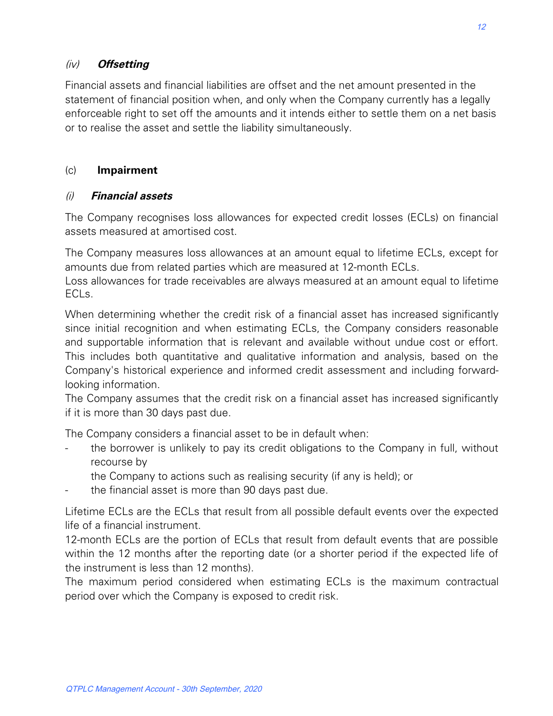## (iv) **Offsetting**

Financial assets and financial liabilities are offset and the net amount presented in the statement of financial position when, and only when the Company currently has a legally enforceable right to set off the amounts and it intends either to settle them on a net basis or to realise the asset and settle the liability simultaneously.

#### (c) **Impairment**

#### (i) **Financial assets**

The Company recognises loss allowances for expected credit losses (ECLs) on financial assets measured at amortised cost.

The Company measures loss allowances at an amount equal to lifetime ECLs, except for amounts due from related parties which are measured at 12-month ECLs.

Loss allowances for trade receivables are always measured at an amount equal to lifetime FCL<sub>S</sub>.

When determining whether the credit risk of a financial asset has increased significantly since initial recognition and when estimating ECLs, the Company considers reasonable and supportable information that is relevant and available without undue cost or effort. This includes both quantitative and qualitative information and analysis, based on the Company's historical experience and informed credit assessment and including forwardlooking information.

The Company assumes that the credit risk on a financial asset has increased significantly if it is more than 30 days past due.

The Company considers a financial asset to be in default when:

- the borrower is unlikely to pay its credit obligations to the Company in full, without recourse by
	- the Company to actions such as realising security (if any is held); or
- the financial asset is more than 90 days past due.

Lifetime ECLs are the ECLs that result from all possible default events over the expected life of a financial instrument.

12-month ECLs are the portion of ECLs that result from default events that are possible within the 12 months after the reporting date (or a shorter period if the expected life of the instrument is less than 12 months).

The maximum period considered when estimating ECLs is the maximum contractual period over which the Company is exposed to credit risk.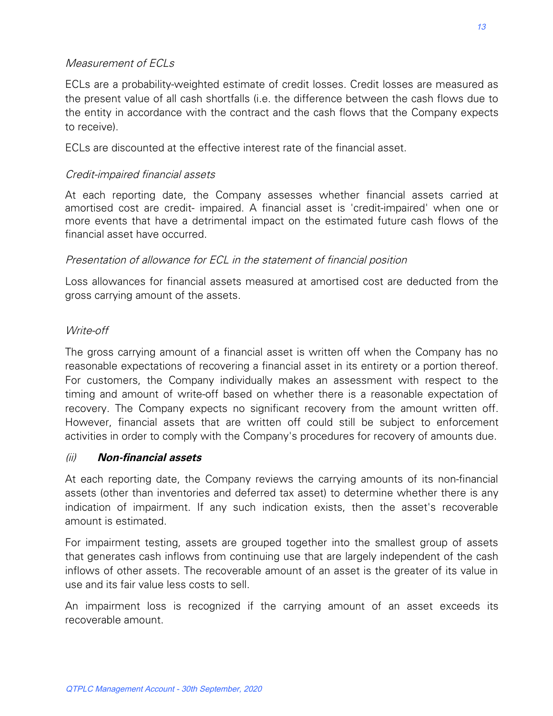## Measurement of ECLs

ECLs are a probability-weighted estimate of credit losses. Credit losses are measured as the present value of all cash shortfalls (i.e. the difference between the cash flows due to the entity in accordance with the contract and the cash flows that the Company expects to receive).

ECLs are discounted at the effective interest rate of the financial asset.

## Credit-impaired financial assets

At each reporting date, the Company assesses whether financial assets carried at amortised cost are credit- impaired. A financial asset is 'credit-impaired' when one or more events that have a detrimental impact on the estimated future cash flows of the financial asset have occurred.

## Presentation of allowance for ECL in the statement of financial position

Loss allowances for financial assets measured at amortised cost are deducted from the gross carrying amount of the assets.

## Write-off

The gross carrying amount of a financial asset is written off when the Company has no reasonable expectations of recovering a financial asset in its entirety or a portion thereof. For customers, the Company individually makes an assessment with respect to the timing and amount of write-off based on whether there is a reasonable expectation of recovery. The Company expects no significant recovery from the amount written off. However, financial assets that are written off could still be subject to enforcement activities in order to comply with the Company's procedures for recovery of amounts due.

## (ii) **Non-financial assets**

At each reporting date, the Company reviews the carrying amounts of its non-financial assets (other than inventories and deferred tax asset) to determine whether there is any indication of impairment. If any such indication exists, then the asset's recoverable amount is estimated.

For impairment testing, assets are grouped together into the smallest group of assets that generates cash inflows from continuing use that are largely independent of the cash inflows of other assets. The recoverable amount of an asset is the greater of its value in use and its fair value less costs to sell.

An impairment loss is recognized if the carrying amount of an asset exceeds its recoverable amount.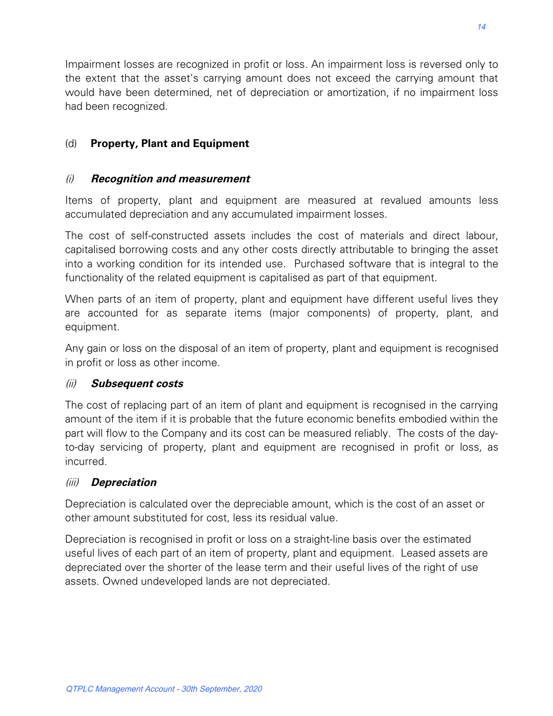Impairment losses are recognized in profit or loss. An impairment loss is reversed only to the extent that the asset's carrying amount does not exceed the carrying amount that would have been determined, net of depreciation or amortization, if no impairment loss had been recognized.

# (d) **Property, Plant and Equipment**

# (i) **Recognition and measurement**

Items of property, plant and equipment are measured at revalued amounts less accumulated depreciation and any accumulated impairment losses.

The cost of self-constructed assets includes the cost of materials and direct labour, capitalised borrowing costs and any other costs directly attributable to bringing the asset into a working condition for its intended use. Purchased software that is integral to the functionality of the related equipment is capitalised as part of that equipment.

When parts of an item of property, plant and equipment have different useful lives they are accounted for as separate items (major components) of property, plant, and equipment.

Any gain or loss on the disposal of an item of property, plant and equipment is recognised in profit or loss as other income.

## (ii) **Subsequent costs**

The cost of replacing part of an item of plant and equipment is recognised in the carrying amount of the item if it is probable that the future economic benefits embodied within the part will flow to the Company and its cost can be measured reliably. The costs of the dayto-day servicing of property, plant and equipment are recognised in profit or loss, as incurred.

# (iii) **Depreciation**

Depreciation is calculated over the depreciable amount, which is the cost of an asset or other amount substituted for cost, less its residual value.

Depreciation is recognised in profit or loss on a straight-line basis over the estimated useful lives of each part of an item of property, plant and equipment. Leased assets are depreciated over the shorter of the lease term and their useful lives of the right of use assets. Owned undeveloped lands are not depreciated.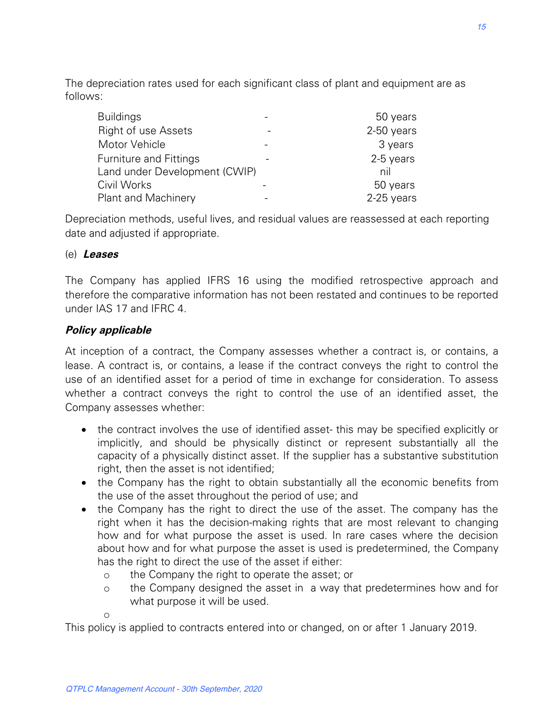The depreciation rates used for each significant class of plant and equipment are as follows:

| <b>Buildings</b> |                               | 50 years   |
|------------------|-------------------------------|------------|
|                  | <b>Right of use Assets</b>    | 2-50 years |
| Motor Vehicle    |                               | 3 years    |
|                  | <b>Furniture and Fittings</b> | 2-5 years  |
|                  | Land under Development (CWIP) | nil        |
| Civil Works      |                               | 50 years   |
|                  | <b>Plant and Machinery</b>    | 2-25 years |

Depreciation methods, useful lives, and residual values are reassessed at each reporting date and adjusted if appropriate.

#### (e) **Leases**

The Company has applied IFRS 16 using the modified retrospective approach and therefore the comparative information has not been restated and continues to be reported under IAS 17 and IFRC 4.

## **Policy applicable**

At inception of a contract, the Company assesses whether a contract is, or contains, a lease. A contract is, or contains, a lease if the contract conveys the right to control the use of an identified asset for a period of time in exchange for consideration. To assess whether a contract conveys the right to control the use of an identified asset, the Company assesses whether:

- the contract involves the use of identified asset- this may be specified explicitly or implicitly, and should be physically distinct or represent substantially all the capacity of a physically distinct asset. If the supplier has a substantive substitution right, then the asset is not identified;
- the Company has the right to obtain substantially all the economic benefits from the use of the asset throughout the period of use; and
- the Company has the right to direct the use of the asset. The company has the right when it has the decision-making rights that are most relevant to changing how and for what purpose the asset is used. In rare cases where the decision about how and for what purpose the asset is used is predetermined, the Company has the right to direct the use of the asset if either:
	- o the Company the right to operate the asset; or
	- o the Company designed the asset in a way that predetermines how and for what purpose it will be used.

o

This policy is applied to contracts entered into or changed, on or after 1 January 2019.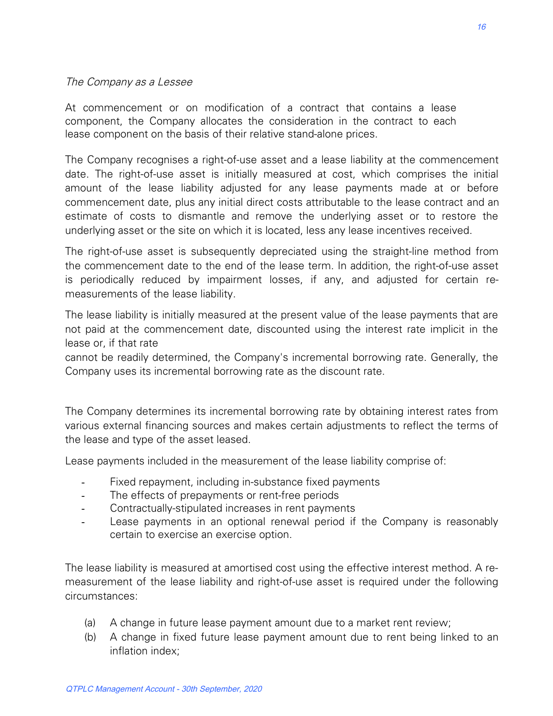#### The Company as a Lessee

At commencement or on modification of a contract that contains a lease component, the Company allocates the consideration in the contract to each lease component on the basis of their relative stand-alone prices.

The Company recognises a right-of-use asset and a lease liability at the commencement date. The right-of-use asset is initially measured at cost, which comprises the initial amount of the lease liability adjusted for any lease payments made at or before commencement date, plus any initial direct costs attributable to the lease contract and an estimate of costs to dismantle and remove the underlying asset or to restore the underlying asset or the site on which it is located, less any lease incentives received.

The right-of-use asset is subsequently depreciated using the straight-line method from the commencement date to the end of the lease term. In addition, the right-of-use asset is periodically reduced by impairment losses, if any, and adjusted for certain remeasurements of the lease liability.

The lease liability is initially measured at the present value of the lease payments that are not paid at the commencement date, discounted using the interest rate implicit in the lease or, if that rate

cannot be readily determined, the Company's incremental borrowing rate. Generally, the Company uses its incremental borrowing rate as the discount rate.

The Company determines its incremental borrowing rate by obtaining interest rates from various external financing sources and makes certain adjustments to reflect the terms of the lease and type of the asset leased.

Lease payments included in the measurement of the lease liability comprise of:

- Fixed repayment, including in-substance fixed payments
- The effects of prepayments or rent-free periods
- Contractually-stipulated increases in rent payments
- Lease payments in an optional renewal period if the Company is reasonably certain to exercise an exercise option.

The lease liability is measured at amortised cost using the effective interest method. A remeasurement of the lease liability and right-of-use asset is required under the following circumstances:

- (a) A change in future lease payment amount due to a market rent review;
- (b) A change in fixed future lease payment amount due to rent being linked to an inflation index;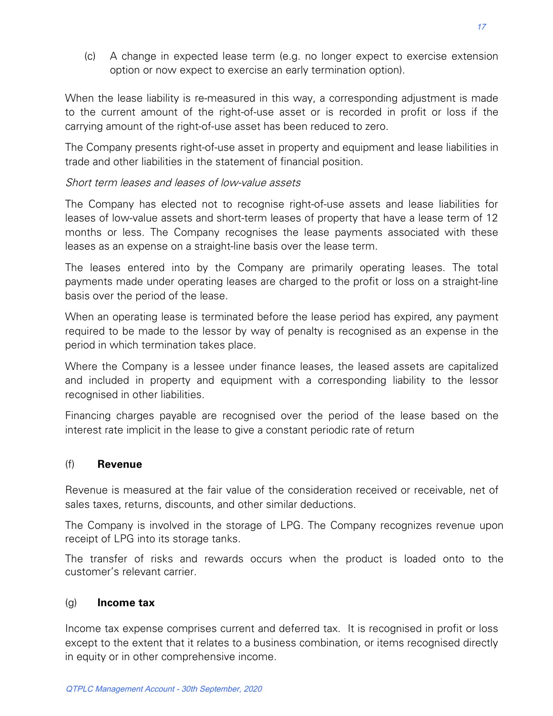(c) A change in expected lease term (e.g. no longer expect to exercise extension option or now expect to exercise an early termination option).

When the lease liability is re-measured in this way, a corresponding adjustment is made to the current amount of the right-of-use asset or is recorded in profit or loss if the carrying amount of the right-of-use asset has been reduced to zero.

The Company presents right-of-use asset in property and equipment and lease liabilities in trade and other liabilities in the statement of financial position.

#### Short term leases and leases of low-value assets

The Company has elected not to recognise right-of-use assets and lease liabilities for leases of low-value assets and short-term leases of property that have a lease term of 12 months or less. The Company recognises the lease payments associated with these leases as an expense on a straight-line basis over the lease term.

The leases entered into by the Company are primarily operating leases. The total payments made under operating leases are charged to the profit or loss on a straight-line basis over the period of the lease.

When an operating lease is terminated before the lease period has expired, any payment required to be made to the lessor by way of penalty is recognised as an expense in the period in which termination takes place.

Where the Company is a lessee under finance leases, the leased assets are capitalized and included in property and equipment with a corresponding liability to the lessor recognised in other liabilities.

Financing charges payable are recognised over the period of the lease based on the interest rate implicit in the lease to give a constant periodic rate of return

#### (f) **Revenue**

Revenue is measured at the fair value of the consideration received or receivable, net of sales taxes, returns, discounts, and other similar deductions.

The Company is involved in the storage of LPG. The Company recognizes revenue upon receipt of LPG into its storage tanks.

The transfer of risks and rewards occurs when the product is loaded onto to the customer's relevant carrier.

#### (g) **Income tax**

Income tax expense comprises current and deferred tax. It is recognised in profit or loss except to the extent that it relates to a business combination, or items recognised directly in equity or in other comprehensive income.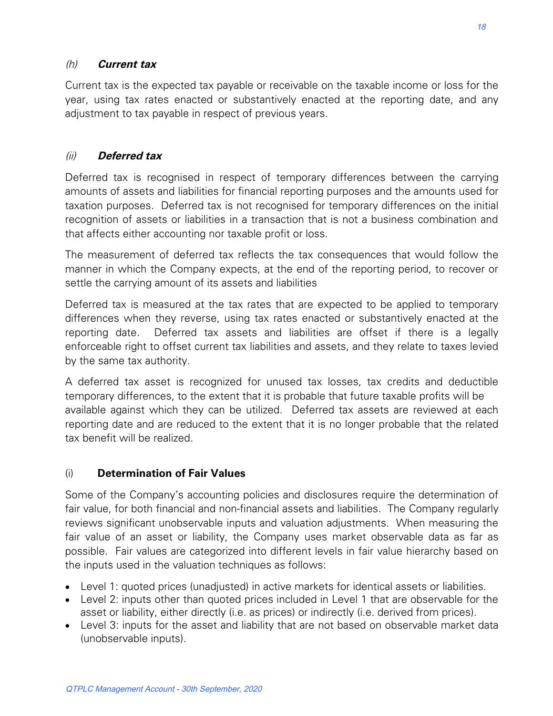## (h) **Current tax**

Current tax is the expected tax payable or receivable on the taxable income or loss for the year, using tax rates enacted or substantively enacted at the reporting date, and any adjustment to tax payable in respect of previous years.

## (ii) **Deferred tax**

Deferred tax is recognised in respect of temporary differences between the carrying amounts of assets and liabilities for financial reporting purposes and the amounts used for taxation purposes. Deferred tax is not recognised for temporary differences on the initial recognition of assets or liabilities in a transaction that is not a business combination and that affects either accounting nor taxable profit or loss.

The measurement of deferred tax reflects the tax consequences that would follow the manner in which the Company expects, at the end of the reporting period, to recover or settle the carrying amount of its assets and liabilities

Deferred tax is measured at the tax rates that are expected to be applied to temporary differences when they reverse, using tax rates enacted or substantively enacted at the reporting date. Deferred tax assets and liabilities are offset if there is a legally enforceable right to offset current tax liabilities and assets, and they relate to taxes levied by the same tax authority.

A deferred tax asset is recognized for unused tax losses, tax credits and deductible temporary differences, to the extent that it is probable that future taxable profits will be available against which they can be utilized. Deferred tax assets are reviewed at each reporting date and are reduced to the extent that it is no longer probable that the related tax benefit will be realized.

## (i) **Determination of Fair Values**

Some of the Company's accounting policies and disclosures require the determination of fair value, for both financial and non-financial assets and liabilities. The Company regularly reviews significant unobservable inputs and valuation adjustments. When measuring the fair value of an asset or liability, the Company uses market observable data as far as possible. Fair values are categorized into different levels in fair value hierarchy based on the inputs used in the valuation techniques as follows:

- Level 1: quoted prices (unadjusted) in active markets for identical assets or liabilities.
- Level 2: inputs other than quoted prices included in Level 1 that are observable for the asset or liability, either directly (i.e. as prices) or indirectly (i.e. derived from prices).
- Level 3: inputs for the asset and liability that are not based on observable market data (unobservable inputs).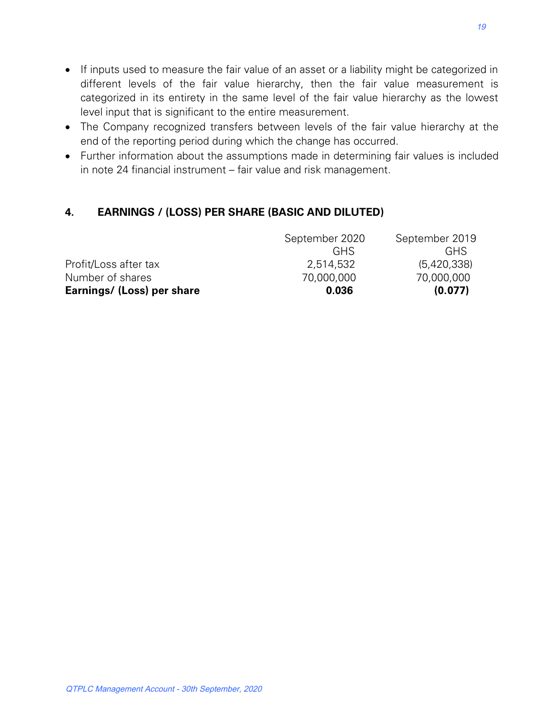- If inputs used to measure the fair value of an asset or a liability might be categorized in different levels of the fair value hierarchy, then the fair value measurement is categorized in its entirety in the same level of the fair value hierarchy as the lowest level input that is significant to the entire measurement.
- The Company recognized transfers between levels of the fair value hierarchy at the end of the reporting period during which the change has occurred.
- Further information about the assumptions made in determining fair values is included in note 24 financial instrument – fair value and risk management.

## **4. EARNINGS / (LOSS) PER SHARE (BASIC AND DILUTED)**

| Earnings/ (Loss) per share | 0.036          | (0.077)        |
|----------------------------|----------------|----------------|
| Number of shares           | 70,000,000     | 70,000,000     |
| Profit/Loss after tax      | 2,514,532      | (5,420,338)    |
|                            | <b>GHS</b>     | <b>GHS</b>     |
|                            | September 2020 | September 2019 |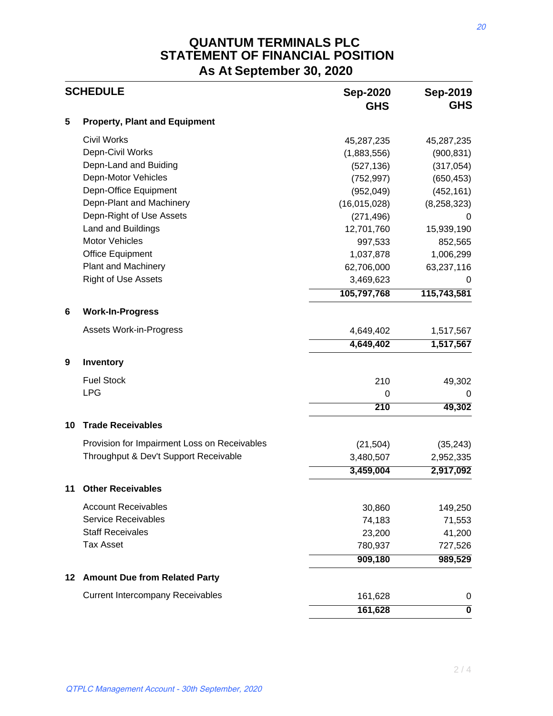# **QUANTUM TERMINALS PLC STATEMENT OF FINANCIAL POSITION As At September 30, 2020**

|         | <b>SCHEDULE</b>                              | <b>Sep-2020</b><br><b>GHS</b> | Sep-2019<br><b>GHS</b>  |
|---------|----------------------------------------------|-------------------------------|-------------------------|
| 5       | <b>Property, Plant and Equipment</b>         |                               |                         |
|         | <b>Civil Works</b>                           | 45,287,235                    | 45,287,235              |
|         | Depn-Civil Works                             | (1,883,556)                   | (900, 831)              |
|         | Depn-Land and Buiding                        | (527, 136)                    | (317, 054)              |
|         | Depn-Motor Vehicles                          | (752, 997)                    | (650, 453)              |
|         | Depn-Office Equipment                        | (952, 049)                    | (452, 161)              |
|         | Depn-Plant and Machinery                     | (16,015,028)                  | (8, 258, 323)           |
|         | Depn-Right of Use Assets                     | (271, 496)                    | 0                       |
|         | Land and Buildings                           | 12,701,760                    | 15,939,190              |
|         | Motor Vehicles                               | 997,533                       | 852,565                 |
|         | <b>Office Equipment</b>                      | 1,037,878                     | 1,006,299               |
|         | <b>Plant and Machinery</b>                   | 62,706,000                    | 63,237,116              |
|         | <b>Right of Use Assets</b>                   | 3,469,623                     | 0                       |
|         |                                              | 105,797,768                   | 115,743,581             |
| 6       | <b>Work-In-Progress</b>                      |                               |                         |
|         | <b>Assets Work-in-Progress</b>               | 4,649,402                     | 1,517,567               |
|         |                                              | 4,649,402                     | 1,517,567               |
| 9       | Inventory                                    |                               |                         |
|         | <b>Fuel Stock</b>                            | 210                           | 49,302                  |
|         | <b>LPG</b>                                   | 0                             | 0                       |
|         |                                              | $\overline{210}$              | 49,302                  |
| 10      | <b>Trade Receivables</b>                     |                               |                         |
|         | Provision for Impairment Loss on Receivables | (21, 504)                     | (35, 243)               |
|         | Throughput & Dev't Support Receivable        | 3,480,507                     | 2,952,335               |
|         |                                              | 3,459,004                     | 2,917,092               |
| 11      | <b>Other Receivables</b>                     |                               |                         |
|         | <b>Account Receivables</b>                   | 30,860                        | 149,250                 |
|         | <b>Service Receivables</b>                   | 74,183                        | 71,553                  |
|         | <b>Staff Receivales</b>                      | 23,200                        | 41,200                  |
|         | <b>Tax Asset</b>                             | 780,937                       | 727,526                 |
|         |                                              | 909,180                       | 989,529                 |
| $12 \,$ | <b>Amount Due from Related Party</b>         |                               |                         |
|         | <b>Current Intercompany Receivables</b>      | 161,628                       | 0                       |
|         |                                              | 161,628                       | $\overline{\mathbf{0}}$ |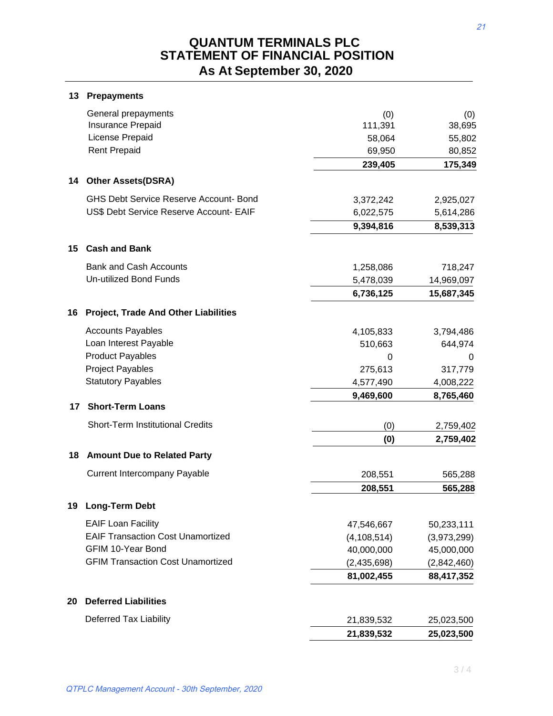# **QUANTUM TERMINALS PLC STATEMENT OF FINANCIAL POSITION As At September 30, 2020**

|    | General prepayments                                            | (0)           |               |
|----|----------------------------------------------------------------|---------------|---------------|
|    | Insurance Prepaid                                              | 111,391       | (0)<br>38,695 |
|    | License Prepaid                                                | 58,064        | 55,802        |
|    | <b>Rent Prepaid</b>                                            | 69,950        | 80,852        |
|    |                                                                | 239,405       | 175,349       |
| 14 | <b>Other Assets(DSRA)</b>                                      |               |               |
|    | <b>GHS Debt Service Reserve Account- Bond</b>                  | 3,372,242     | 2,925,027     |
|    | US\$ Debt Service Reserve Account- EAIF                        | 6,022,575     | 5,614,286     |
|    |                                                                | 9,394,816     | 8,539,313     |
| 15 | <b>Cash and Bank</b>                                           |               |               |
|    |                                                                |               |               |
|    | <b>Bank and Cash Accounts</b><br><b>Un-utilized Bond Funds</b> | 1,258,086     | 718,247       |
|    |                                                                | 5,478,039     | 14,969,097    |
|    |                                                                | 6,736,125     | 15,687,345    |
| 16 | <b>Project, Trade And Other Liabilities</b>                    |               |               |
|    | <b>Accounts Payables</b>                                       | 4,105,833     | 3,794,486     |
|    | Loan Interest Payable                                          | 510,663       | 644,974       |
|    | <b>Product Payables</b>                                        | 0             | 0             |
|    | <b>Project Payables</b>                                        | 275,613       | 317,779       |
|    | <b>Statutory Payables</b>                                      | 4,577,490     | 4,008,222     |
|    |                                                                | 9,469,600     | 8,765,460     |
| 17 | <b>Short-Term Loans</b>                                        |               |               |
|    | <b>Short-Term Institutional Credits</b>                        | (0)           | 2,759,402     |
|    |                                                                | (0)           | 2,759,402     |
| 18 | <b>Amount Due to Related Party</b>                             |               |               |
|    | <b>Current Intercompany Payable</b>                            | 208,551       | 565,288       |
|    |                                                                | 208,551       | 565,288       |
|    | 19 Long-Term Debt                                              |               |               |
|    | <b>EAIF Loan Facility</b>                                      | 47,546,667    | 50,233,111    |
|    | <b>EAIF Transaction Cost Unamortized</b>                       | (4, 108, 514) | (3,973,299)   |
|    | <b>GFIM 10-Year Bond</b>                                       | 40,000,000    | 45,000,000    |
|    | <b>GFIM Transaction Cost Unamortized</b>                       | (2,435,698)   | (2,842,460)   |
|    |                                                                | 81,002,455    | 88,417,352    |
| 20 | <b>Deferred Liabilities</b>                                    |               |               |
|    | <b>Deferred Tax Liability</b>                                  | 21,839,532    | 25,023,500    |
|    |                                                                | 21,839,532    | 25,023,500    |

**13 Prepayments**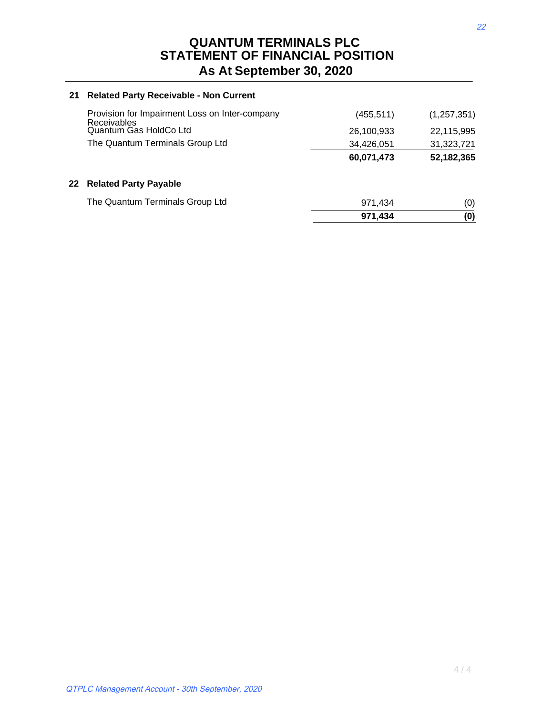#### **21 Related Party Receivable - Non Current**

|                                                                      | 971,434    | (0)           |
|----------------------------------------------------------------------|------------|---------------|
| The Quantum Terminals Group Ltd                                      | 971.434    | (0)           |
| 22 Related Party Payable                                             |            |               |
|                                                                      | 60,071,473 | 52,182,365    |
| The Quantum Terminals Group Ltd                                      | 34,426,051 | 31,323,721    |
| Quantum Gas HoldCo Ltd                                               | 26,100,933 | 22,115,995    |
| Provision for Impairment Loss on Inter-company<br><b>Receivables</b> | (455, 511) | (1, 257, 351) |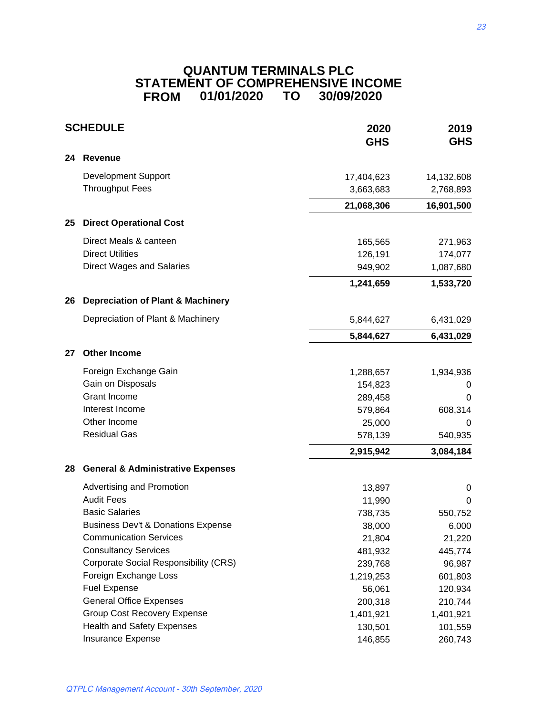## **QUANTUM TERMINALS PLC STATEMENT OF COMPREHENSIVE INCOME FROM 01/01/2020 TO 30/09/2020**

| <b>SCHEDULE</b><br>24<br><b>Revenue</b><br><b>Development Support</b><br><b>Throughput Fees</b><br><b>Direct Operational Cost</b><br>25<br>Direct Meals & canteen<br><b>Direct Utilities</b><br><b>Direct Wages and Salaries</b> |                                               | 2020<br><b>GHS</b> | 2019<br><b>GHS</b> |
|----------------------------------------------------------------------------------------------------------------------------------------------------------------------------------------------------------------------------------|-----------------------------------------------|--------------------|--------------------|
|                                                                                                                                                                                                                                  |                                               |                    |                    |
|                                                                                                                                                                                                                                  |                                               | 17,404,623         | 14,132,608         |
|                                                                                                                                                                                                                                  |                                               | 3,663,683          | 2,768,893          |
|                                                                                                                                                                                                                                  |                                               | 21,068,306         | 16,901,500         |
|                                                                                                                                                                                                                                  |                                               |                    |                    |
|                                                                                                                                                                                                                                  |                                               | 165,565            | 271,963            |
|                                                                                                                                                                                                                                  |                                               | 126,191            | 174,077            |
|                                                                                                                                                                                                                                  |                                               | 949,902            | 1,087,680          |
|                                                                                                                                                                                                                                  |                                               | 1,241,659          | 1,533,720          |
| 26                                                                                                                                                                                                                               | <b>Depreciation of Plant &amp; Machinery</b>  |                    |                    |
|                                                                                                                                                                                                                                  | Depreciation of Plant & Machinery             | 5,844,627          | 6,431,029          |
|                                                                                                                                                                                                                                  |                                               |                    |                    |
|                                                                                                                                                                                                                                  |                                               | 5,844,627          | 6,431,029          |
| 27                                                                                                                                                                                                                               | <b>Other Income</b>                           |                    |                    |
|                                                                                                                                                                                                                                  | Foreign Exchange Gain                         | 1,288,657          | 1,934,936          |
|                                                                                                                                                                                                                                  | Gain on Disposals                             | 154,823            | O                  |
|                                                                                                                                                                                                                                  | <b>Grant Income</b>                           | 289,458            | 0                  |
|                                                                                                                                                                                                                                  | Interest Income                               | 579,864            | 608,314            |
|                                                                                                                                                                                                                                  | Other Income                                  | 25,000             | 0                  |
|                                                                                                                                                                                                                                  | <b>Residual Gas</b>                           | 578,139            | 540,935            |
|                                                                                                                                                                                                                                  |                                               | 2,915,942          | 3,084,184          |
| 28                                                                                                                                                                                                                               | <b>General &amp; Administrative Expenses</b>  |                    |                    |
|                                                                                                                                                                                                                                  | Advertising and Promotion                     | 13,897             | 0                  |
|                                                                                                                                                                                                                                  | <b>Audit Fees</b>                             | 11,990             | 0                  |
|                                                                                                                                                                                                                                  | <b>Basic Salaries</b>                         | 738,735            | 550,752            |
|                                                                                                                                                                                                                                  | <b>Business Dev't &amp; Donations Expense</b> | 38,000             | 6,000              |
|                                                                                                                                                                                                                                  | <b>Communication Services</b>                 | 21,804             | 21,220             |
|                                                                                                                                                                                                                                  | <b>Consultancy Services</b>                   | 481,932            | 445,774            |
|                                                                                                                                                                                                                                  | <b>Corporate Social Responsibility (CRS)</b>  | 239,768            | 96,987             |
|                                                                                                                                                                                                                                  | Foreign Exchange Loss                         | 1,219,253          | 601,803            |
|                                                                                                                                                                                                                                  | <b>Fuel Expense</b>                           | 56,061             | 120,934            |
|                                                                                                                                                                                                                                  | <b>General Office Expenses</b>                | 200,318            | 210,744            |
|                                                                                                                                                                                                                                  | <b>Group Cost Recovery Expense</b>            | 1,401,921          | 1,401,921          |
|                                                                                                                                                                                                                                  | <b>Health and Safety Expenses</b>             | 130,501            | 101,559            |
|                                                                                                                                                                                                                                  | Insurance Expense                             | 146,855            | 260,743            |